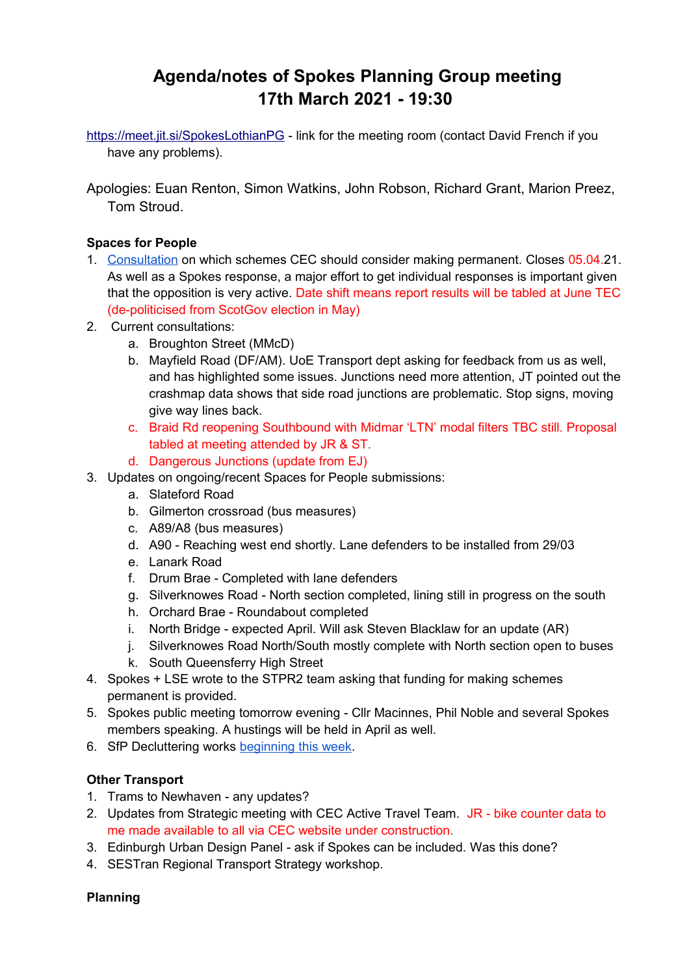# **Agenda/notes of Spokes Planning Group meeting 17th March 2021 - 19:30**

<https://meet.jit.si/SpokesLothianPG>- link for the meeting room (contact David French if you have any problems).

Apologies: Euan Renton, Simon Watkins, John Robson, Richard Grant, Marion Preez, Tom Stroud.

### **Spaces for People**

- 1. [Consultation](https://consultationhub.edinburgh.gov.uk/bi/retainingspacesforpeopleconsultation/) on which schemes CEC should consider making permanent. Closes 05.04.21. As well as a Spokes response, a major effort to get individual responses is important given that the opposition is very active. Date shift means report results will be tabled at June TEC (de-politicised from ScotGov election in May)
- 2. Current consultations:
	- a. Broughton Street (MMcD)
	- b. Mayfield Road (DF/AM). UoE Transport dept asking for feedback from us as well, and has highlighted some issues. Junctions need more attention, JT pointed out the crashmap data shows that side road junctions are problematic. Stop signs, moving give way lines back.
	- c. Braid Rd reopening Southbound with Midmar 'LTN' modal filters TBC still. Proposal tabled at meeting attended by JR & ST.
	- d. Dangerous Junctions (update from EJ)
- 3. Updates on ongoing/recent Spaces for People submissions:
	- a. Slateford Road
	- b. Gilmerton crossroad (bus measures)
	- c. A89/A8 (bus measures)
	- d. A90 Reaching west end shortly. Lane defenders to be installed from 29/03
	- e. Lanark Road
	- f. Drum Brae Completed with lane defenders
	- g. Silverknowes Road North section completed, lining still in progress on the south
	- h. Orchard Brae Roundabout completed
	- i. North Bridge expected April. Will ask Steven Blacklaw for an update (AR)
	- j. Silverknowes Road North/South mostly complete with North section open to buses
	- k. South Queensferry High Street
- 4. Spokes + LSE wrote to the STPR2 team asking that funding for making schemes permanent is provided.
- 5. Spokes public meeting tomorrow evening Cllr Macinnes, Phil Noble and several Spokes members speaking. A hustings will be held in April as well.
- 6. SfP Decluttering works [beginning this week.](https://twitter.com/LivingStreetsEd/status/1371798134985220098?s=20)

### **Other Transport**

- 1. Trams to Newhaven any updates?
- 2. Updates from Strategic meeting with CEC Active Travel Team. JR bike counter data to me made available to all via CEC website under construction.
- 3. Edinburgh Urban Design Panel ask if Spokes can be included. Was this done?
- 4. SESTran Regional Transport Strategy workshop.

### **Planning**